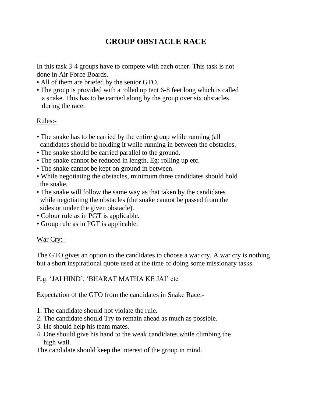# **GROUP OBSTACLE RACE**

In this task 3-4 groups have to compete with each other. This task is not done in Air Force Boards.

- All of them are briefed by the senior GTO.
- The group is provided with a rolled up tent 6-8 feet long which is called a snake. This has to be carried along by the group over six obstacles during the race.

#### Rules:-

- The snake has to be carried by the entire group while running (all candidates should be holding it while running in between the obstacles.
- The snake should be carried parallel to the ground.
- The snake cannot be reduced in length. Eg: rolling up etc.
- The snake cannot be kept on ground in between.
- While negotiating the obstacles, minimum three candidates should hold the snake.
- The snake will follow the same way as that taken by the candidates while negotiating the obstacles (the snake cannot be passed from the sides or under the given obstacle).
- Colour rule as in PGT is applicable.
- Group rule as in PGT is applicable.

## War Cry:-

The GTO gives an option to the candidates to choose a war cry. A war cry is nothing but a short inspirational quote used at the time of doing some missionary tasks.

## E.g. 'JAI HIND', 'BHARAT MATHA KE JAI' etc

#### Expectation of the GTO from the candidates in Snake Race:-

- 1. The candidate should not violate the rule.
- 2. The candidate should Try to remain ahead as much as possible.
- 3. He should help his team mates.
- 4. One should give his hand to the weak candidates while climbing the high wall.

The candidate should keep the interest of the group in mind.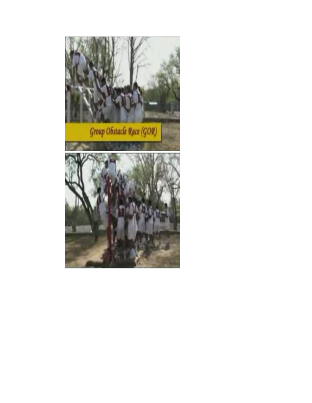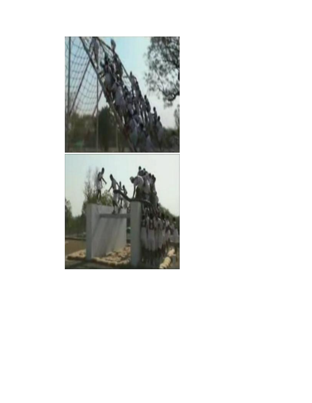